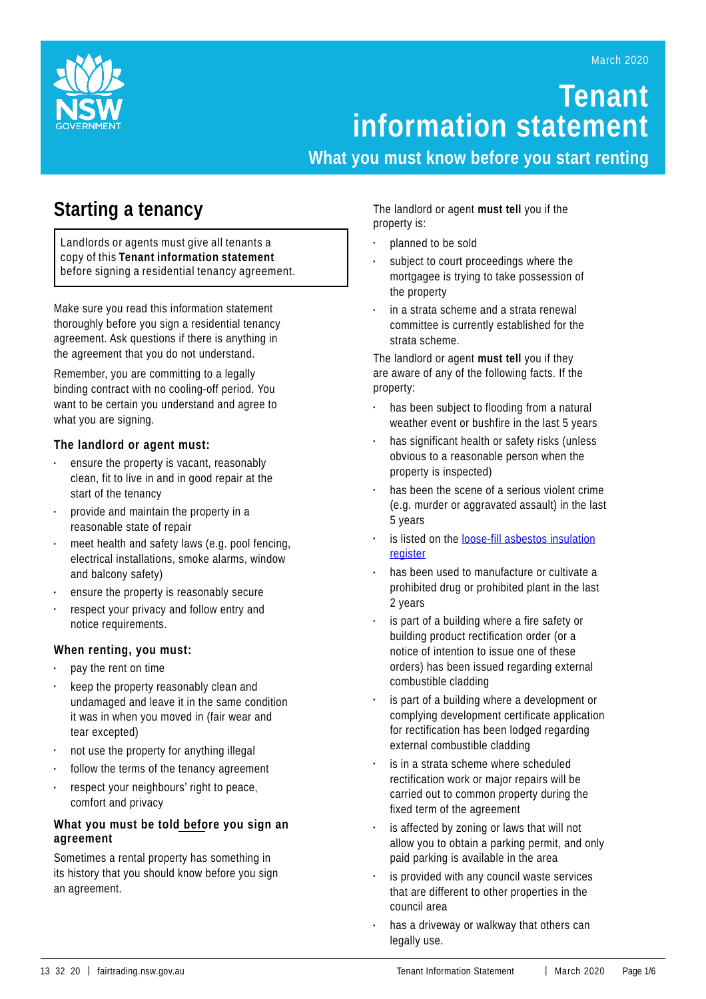

# **Tenant information statement**

**What you must know before you start renting**

## **Starting a tenancy**

Landlords or agents must give all tenants a copy of this **Tenant information statement** before signing a residential tenancy agreement.

Make sure you read this information statement thoroughly before you sign a residential tenancy agreement. Ask questions if there is anything in the agreement that you do not understand.

Remember, you are committing to a legally binding contract with no cooling-off period. You want to be certain you understand and agree to what you are signing.

## **The landlord or agent must:**

- ensure the property is vacant, reasonably clean, fit to live in and in good repair at the start of the tenancy
- provide and maintain the property in a reasonable state of repair
- meet health and safety laws (e.g. pool fencing, electrical installations, smoke alarms, window and balcony safety)
- ensure the property is reasonably secure
- respect your privacy and follow entry and notice requirements.

## **When renting, you must:**

- pay the rent on time
- keep the property reasonably clean and undamaged and leave it in the same condition it was in when you moved in (fair wear and tear excepted)
- not use the property for anything illegal
- follow the terms of the tenancy agreement
- respect your neighbours' right to peace, comfort and privacy

## **What you must be told before you sign an agreement**

Sometimes a rental property has something in its history that you should know before you sign an agreement.

The landlord or agent **must tell** you if the property is:

- planned to be sold
- subject to court proceedings where the mortgagee is trying to take possession of the property
- in a strata scheme and a strata renewal committee is currently established for the strata scheme.

The landlord or agent **must tell** you if they are aware of any of the following facts. If the property:

- has been subject to flooding from a natural weather event or bushfire in the last 5 years
- has significant health or safety risks (unless obvious to a reasonable person when the property is inspected)
- has been the scene of a serious violent crime (e.g. murder or aggravated assault) in the last 5 years
- is listed on the loose-fill asbestos [insulation](https://www.fairtrading.nsw.gov.au/housing-and-property/loose-fill-asbestos-insulation/public-register-of-affected-properties) [register](https://www.fairtrading.nsw.gov.au/housing-and-property/loose-fill-asbestos-insulation/public-register-of-affected-properties)
- has been used to manufacture or cultivate a prohibited drug or prohibited plant in the last 2 years
- is part of a building where a fire safety or building product rectification order (or a notice of intention to issue one of these orders) has been issued regarding external combustible cladding
- is part of a building where a development or complying development certificate application for rectification has been lodged regarding external combustible cladding
- is in a strata scheme where scheduled rectification work or major repairs will be carried out to common property during the fixed term of the agreement
- is affected by zoning or laws that will not allow you to obtain a parking permit, and only paid parking is available in the area
- is provided with any council waste services that are different to other properties in the council area
- has a driveway or walkway that others can legally use.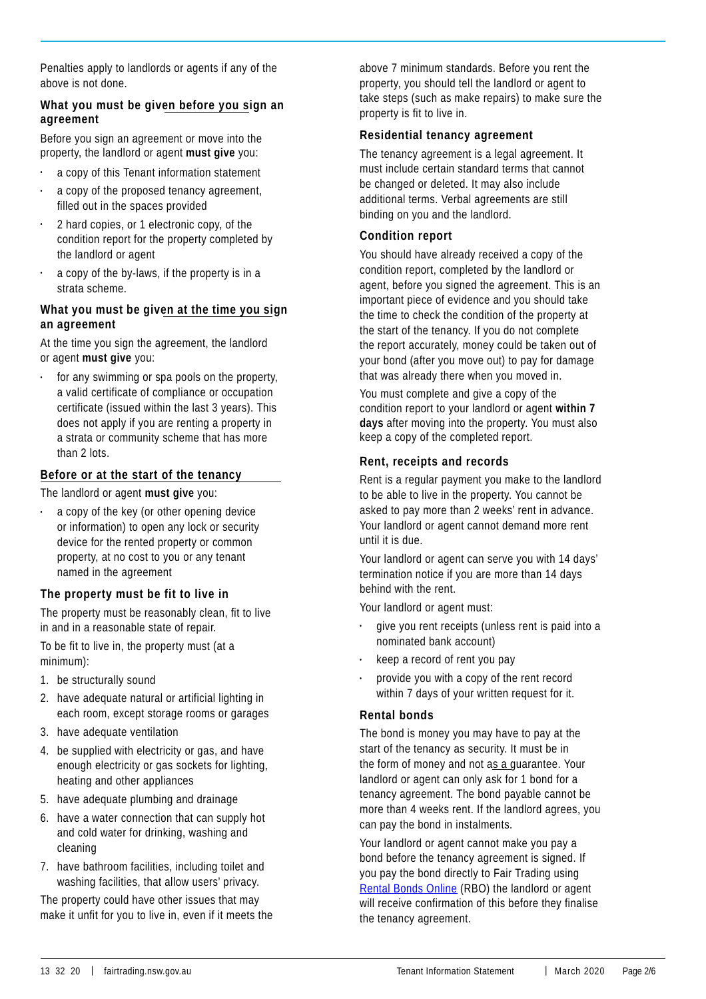Penalties apply to landlords or agents if any of the above is not done.

## **What you must be given before you sign an agreement**

Before you sign an agreement or move into the property, the landlord or agent **must give** you:

- a copy of this Tenant information statement
- a copy of the proposed tenancy agreement, filled out in the spaces provided
- 2 hard copies, or 1 electronic copy, of the condition report for the property completed by the landlord or agent
- a copy of the by-laws, if the property is in a strata scheme.

## **What you must be given at the time you sign an agreement**

At the time you sign the agreement, the landlord or agent **must give** you:

for any swimming or spa pools on the property, a valid certificate of compliance or occupation certificate (issued within the last 3 years). This does not apply if you are renting a property in a strata or community scheme that has more than 2 lots.

## **Before or at the start of the tenancy**

The landlord or agent **must give** you:

a copy of the key (or other opening device or information) to open any lock or security device for the rented property or common property, at no cost to you or any tenant named in the agreement

## **The property must be fit to live in**

The property must be reasonably clean, fit to live in and in a reasonable state of repair.

To be fit to live in, the property must (at a minimum):

- 1. be structurally sound
- 2. have adequate natural or artificial lighting in each room, except storage rooms or garages
- 3. have adequate ventilation
- 4. be supplied with electricity or gas, and have enough electricity or gas sockets for lighting, heating and other appliances
- 5. have adequate plumbing and drainage
- 6. have a water connection that can supply hot and cold water for drinking, washing and cleaning
- 7. have bathroom facilities, including toilet and washing facilities, that allow users' privacy.

The property could have other issues that may make it unfit for you to live in, even if it meets the above 7 minimum standards. Before you rent the property, you should tell the landlord or agent to take steps (such as make repairs) to make sure the property is fit to live in.

## **Residential tenancy agreement**

The tenancy agreement is a legal agreement. It must include certain standard terms that cannot be changed or deleted. It may also include additional terms. Verbal agreements are still binding on you and the landlord.

## **Condition report**

You should have already received a copy of the condition report, completed by the landlord or agent, before you signed the agreement. This is an important piece of evidence and you should take the time to check the condition of the property at the start of the tenancy. If you do not complete the report accurately, money could be taken out of your bond (after you move out) to pay for damage that was already there when you moved in.

You must complete and give a copy of the condition report to your landlord or agent **within 7 days** after moving into the property. You must also keep a copy of the completed report.

## **Rent, receipts and records**

Rent is a regular payment you make to the landlord to be able to live in the property. You cannot be asked to pay more than 2 weeks' rent in advance. Your landlord or agent cannot demand more rent until it is due.

Your landlord or agent can serve you with 14 days' termination notice if you are more than 14 days behind with the rent.

Your landlord or agent must:

- give you rent receipts (unless rent is paid into a nominated bank account)
- keep a record of rent you pay
- provide you with a copy of the rent record within 7 days of your written request for it.

#### **Rental bonds**

The bond is money you may have to pay at the start of the tenancy as security. It must be in the form of money and not as a guarantee. Your landlord or agent can only ask for 1 bond for a tenancy agreement. The bond payable cannot be more than 4 weeks rent. If the landlord agrees, you can pay the bond in instalments.

Your landlord or agent cannot make you pay a bond before the tenancy agreement is signed. If you pay the bond directly to Fair Trading using [Rental](https://www.fairtrading.nsw.gov.au/housing-and-property/renting/rental-bonds-online) Bonds Online (RBO) the landlord or agent will receive confirmation of this before they finalise the tenancy agreement.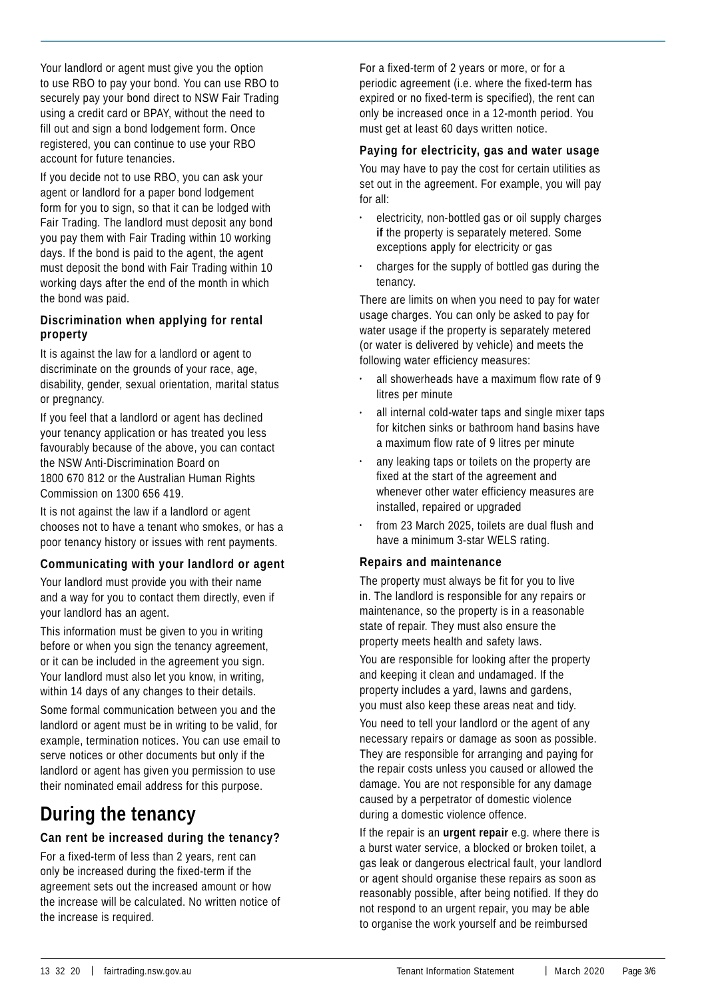Your landlord or agent must give you the option to use RBO to pay your bond. You can use RBO to securely pay your bond direct to NSW Fair Trading using a credit card or BPAY, without the need to fill out and sign a bond lodgement form. Once registered, you can continue to use your RBO account for future tenancies.

If you decide not to use RBO, you can ask your agent or landlord for a paper bond lodgement form for you to sign, so that it can be lodged with Fair Trading. The landlord must deposit any bond you pay them with Fair Trading within 10 working days. If the bond is paid to the agent, the agent must deposit the bond with Fair Trading within 10 working days after the end of the month in which the bond was paid.

## **Discrimination when applying for rental property**

It is against the law for a landlord or agent to discriminate on the grounds of your race, age, disability, gender, sexual orientation, marital status or pregnancy.

If you feel that a landlord or agent has declined your tenancy application or has treated you less favourably because of the above, you can contact the NSW Anti-Discrimination Board on 1800 670 812 or the Australian Human Rights Commission on 1300 656 419.

It is not against the law if a landlord or agent chooses not to have a tenant who smokes, or has a poor tenancy history or issues with rent payments.

## **Communicating with your landlord or agent**

Your landlord must provide you with their name and a way for you to contact them directly, even if your landlord has an agent.

This information must be given to you in writing before or when you sign the tenancy agreement, or it can be included in the agreement you sign. Your landlord must also let you know, in writing, within 14 days of any changes to their details.

Some formal communication between you and the landlord or agent must be in writing to be valid, for example, termination notices. You can use email to serve notices or other documents but only if the landlord or agent has given you permission to use their nominated email address for this purpose.

## **During the tenancy**

## **Can rent be increased during the tenancy?**

For a fixed-term of less than 2 years, rent can only be increased during the fixed-term if the agreement sets out the increased amount or how the increase will be calculated. No written notice of the increase is required.

For a fixed-term of 2 years or more, or for a periodic agreement (i.e. where the fixed-term has expired or no fixed-term is specified), the rent can only be increased once in a 12-month period. You must get at least 60 days written notice.

## **Paying for electricity, gas and water usage**

You may have to pay the cost for certain utilities as set out in the agreement. For example, you will pay for all:

- electricity, non-bottled gas or oil supply charges **if** the property is separately metered. Some exceptions apply for electricity or gas
- charges for the supply of bottled gas during the tenancy.

There are limits on when you need to pay for water usage charges. You can only be asked to pay for water usage if the property is separately metered (or water is delivered by vehicle) and meets the following water efficiency measures:

- all showerheads have a maximum flow rate of 9 litres per minute
- all internal cold-water taps and single mixer taps for kitchen sinks or bathroom hand basins have a maximum flow rate of 9 litres per minute
- any leaking taps or toilets on the property are fixed at the start of the agreement and whenever other water efficiency measures are installed, repaired or upgraded
- from 23 March 2025, toilets are dual flush and have a minimum 3-star WELS rating.

## **Repairs and maintenance**

The property must always be fit for you to live in. The landlord is responsible for any repairs or maintenance, so the property is in a reasonable state of repair. They must also ensure the property meets health and safety laws. You are responsible for looking after the property and keeping it clean and undamaged. If the property includes a yard, lawns and gardens, you must also keep these areas neat and tidy.

You need to tell your landlord or the agent of any necessary repairs or damage as soon as possible. They are responsible for arranging and paying for the repair costs unless you caused or allowed the damage. You are not responsible for any damage caused by a perpetrator of domestic violence during a domestic violence offence.

If the repair is an **urgent repair** e.g. where there is a burst water service, a blocked or broken toilet, a gas leak or dangerous electrical fault, your landlord or agent should organise these repairs as soon as reasonably possible, after being notified. If they do not respond to an urgent repair, you may be able to organise the work yourself and be reimbursed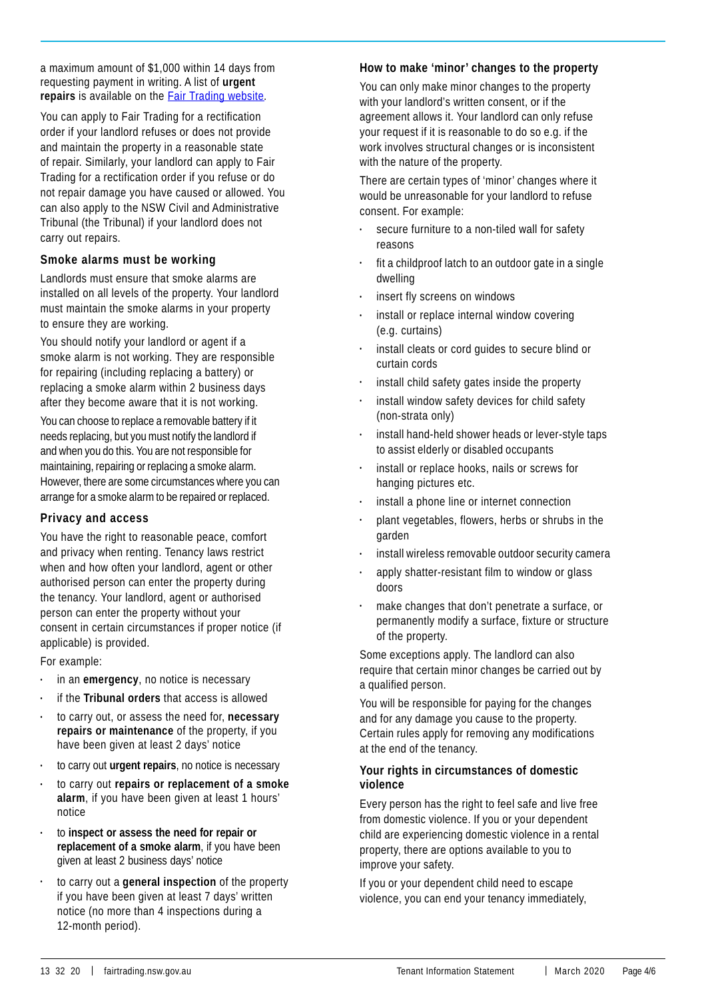a maximum amount of \$1,000 within 14 days from requesting payment in writing. A list of **urgent repairs** is available on the Fair Trading [website](https://www.fairtrading.nsw.gov.au/housing-and-property/renting/during-a-tenancy/getting-repairs-done).

You can apply to Fair Trading for a rectification order if your landlord refuses or does not provide and maintain the property in a reasonable state of repair. Similarly, your landlord can apply to Fair Trading for a rectification order if you refuse or do not repair damage you have caused or allowed. You can also apply to the NSW Civil and Administrative Tribunal (the Tribunal) if your landlord does not carry out repairs.

## **Smoke alarms must be working**

Landlords must ensure that smoke alarms are installed on all levels of the property. Your landlord must maintain the smoke alarms in your property to ensure they are working.

You should notify your landlord or agent if a smoke alarm is not working. They are responsible for repairing (including replacing a battery) or replacing a smoke alarm within 2 business days after they become aware that it is not working.

You can choose to replace a removable battery if it needs replacing, but you must notify the landlord if and when you do this. You are not responsible for maintaining, repairing or replacing a smoke alarm. However, there are some circumstances where you can arrange for a smoke alarm to be repaired or replaced.

#### **Privacy and access**

You have the right to reasonable peace, comfort and privacy when renting. Tenancy laws restrict when and how often your landlord, agent or other authorised person can enter the property during the tenancy. Your landlord, agent or authorised person can enter the property without your consent in certain circumstances if proper notice (if applicable) is provided.

For example:

- in an **emergency**, no notice is necessary
- if the **Tribunal orders** that access is allowed
- to carry out, or assess the need for, **necessary repairs or maintenance** of the property, if you have been given at least 2 days' notice
- to carry out **urgent repairs**, no notice is necessary
- to carry out **repairs or replacement of a smoke alarm**, if you have been given at least 1 hours' notice
- to **inspect or assess the need for repair or replacement of a smoke alarm**, if you have been given at least 2 business days' notice
- to carry out a **general inspection** of the property if you have been given at least 7 days' written notice (no more than 4 inspections during a 12-month period).

### **How to make 'minor' changes to the property**

You can only make minor changes to the property with your landlord's written consent, or if the agreement allows it. Your landlord can only refuse your request if it is reasonable to do so e.g. if the work involves structural changes or is inconsistent with the nature of the property.

There are certain types of 'minor' changes where it would be unreasonable for your landlord to refuse consent. For example:

- secure furniture to a non-tiled wall for safety reasons
- fit a childproof latch to an outdoor gate in a single dwelling
- insert fly screens on windows
- install or replace internal window covering (e.g. curtains)
- install cleats or cord quides to secure blind or curtain cords
- install child safety gates inside the property
- install window safety devices for child safety (non-strata only)
- install hand-held shower heads or lever-style taps to assist elderly or disabled occupants
- install or replace hooks, nails or screws for hanging pictures etc.
- install a phone line or internet connection
- plant vegetables, flowers, herbs or shrubs in the garden
- install wireless removable outdoor security camera
- apply shatter-resistant film to window or glass doors
- make changes that don't penetrate a surface, or permanently modify a surface, fixture or structure of the property.

Some exceptions apply. The landlord can also require that certain minor changes be carried out by a qualified person.

You will be responsible for paying for the changes and for any damage you cause to the property. Certain rules apply for removing any modifications at the end of the tenancy.

#### **Your rights in circumstances of domestic violence**

Every person has the right to feel safe and live free from domestic violence. If you or your dependent child are experiencing domestic violence in a rental property, there are options available to you to improve your safety.

If you or your dependent child need to escape violence, you can end your tenancy immediately,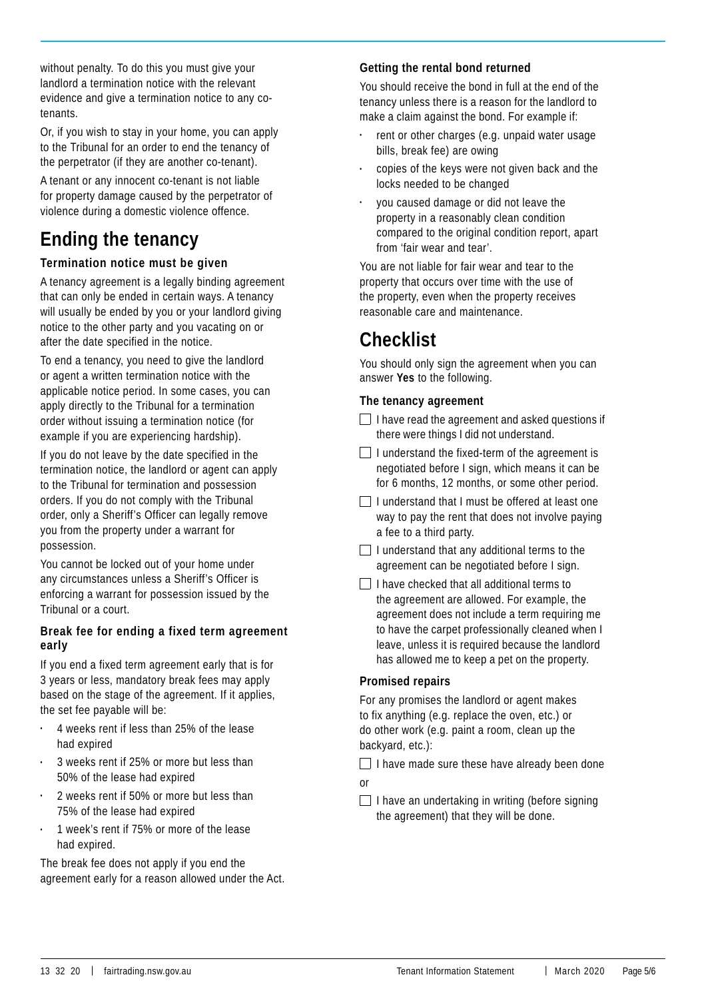without penalty. To do this you must give your landlord a termination notice with the relevant evidence and give a termination notice to any cotenants.

Or, if you wish to stay in your home, you can apply to the Tribunal for an order to end the tenancy of the perpetrator (if they are another co-tenant).

A tenant or any innocent co-tenant is not liable for property damage caused by the perpetrator of violence during a domestic violence offence.

## **Ending the tenancy**

## **Termination notice must be given**

A tenancy agreement is a legally binding agreement that can only be ended in certain ways. A tenancy will usually be ended by you or your landlord giving notice to the other party and you vacating on or after the date specified in the notice.

To end a tenancy, you need to give the landlord or agent a written termination notice with the applicable notice period. In some cases, you can apply directly to the Tribunal for a termination order without issuing a termination notice (for example if you are experiencing hardship).

If you do not leave by the date specified in the termination notice, the landlord or agent can apply to the Tribunal for termination and possession orders. If you do not comply with the Tribunal order, only a Sheriff's Officer can legally remove you from the property under a warrant for possession.

You cannot be locked out of your home under any circumstances unless a Sheriff's Officer is enforcing a warrant for possession issued by the Tribunal or a court.

## **Break fee for ending a fixed term agreement early**

If you end a fixed term agreement early that is for 3 years or less, mandatory break fees may apply based on the stage of the agreement. If it applies, the set fee payable will be:

- 4 weeks rent if less than 25% of the lease had expired
- 3 weeks rent if 25% or more but less than 50% of the lease had expired
- 2 weeks rent if 50% or more but less than 75% of the lease had expired
- 1 week's rent if 75% or more of the lease had expired.

The break fee does not apply if you end the agreement early for a reason allowed under the Act.

## **Getting the rental bond returned**

You should receive the bond in full at the end of the tenancy unless there is a reason for the landlord to make a claim against the bond. For example if:

- rent or other charges (e.g. unpaid water usage bills, break fee) are owing
- copies of the keys were not given back and the locks needed to be changed
- you caused damage or did not leave the property in a reasonably clean condition compared to the original condition report, apart from 'fair wear and tear'.

You are not liable for fair wear and tear to the property that occurs over time with the use of the property, even when the property receives reasonable care and maintenance.

## **Checklist**

You should only sign the agreement when you can answer **Yes** to the following.

## **The tenancy agreement**

- $\Box$  I have read the agreement and asked questions if there were things I did not understand.
- $\Box$  I understand the fixed-term of the agreement is negotiated before I sign, which means it can be for 6 months, 12 months, or some other period.
- $\Box$  I understand that I must be offered at least one way to pay the rent that does not involve paying a fee to a third party.
- $\Box$  I understand that any additional terms to the agreement can be negotiated before I sign.
- $\Box$  I have checked that all additional terms to the agreement are allowed. For example, the agreement does not include a term requiring me to have the carpet professionally cleaned when I leave, unless it is required because the landlord has allowed me to keep a pet on the property.

## **Promised repairs**

For any promises the landlord or agent makes to fix anything (e.g. replace the oven, etc.) or do other work (e.g. paint a room, clean up the backyard, etc.):

 $\Box$  I have made sure these have already been done or

 $\Box$  I have an undertaking in writing (before signing the agreement) that they will be done.